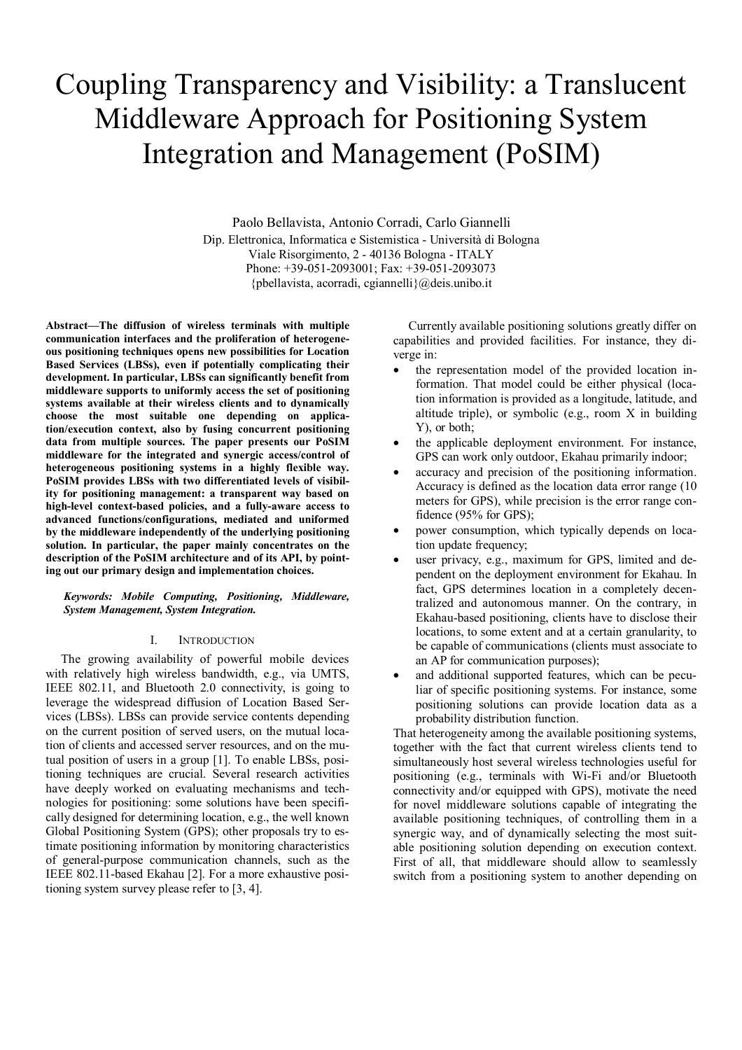# Coupling Transparency and Visibility: a Translucent Middleware Approach for Positioning System Integration and Management (PoSIM)

Paolo Bellavista, Antonio Corradi, Carlo Giannelli Dip. Elettronica, Informatica e Sistemistica - Università di Bologna Viale Risorgimento, 2 - 40136 Bologna - ITALY Phone: +39-051-2093001; Fax: +39-051-2093073 {pbellavista, acorradi, cgiannelli}@deis.unibo.it

**Abstract—The diffusion of wireless terminals with multiple communication interfaces and the proliferation of heterogeneous positioning techniques opens new possibilities for Location Based Services (LBSs), even if potentially complicating their development. In particular, LBSs can significantly benefit from middleware supports to uniformly access the set of positioning systems available at their wireless clients and to dynamically choose the most suitable one depending on application/execution context, also by fusing concurrent positioning data from multiple sources. The paper presents our PoSIM middleware for the integrated and synergic access/control of heterogeneous positioning systems in a highly flexible way. PoSIM provides LBSs with two differentiated levels of visibility for positioning management: a transparent way based on high-level context-based policies, and a fully-aware access to advanced functions/configurations, mediated and uniformed by the middleware independently of the underlying positioning solution. In particular, the paper mainly concentrates on the description of the PoSIM architecture and of its API, by pointing out our primary design and implementation choices.** 

#### *Keywords: Mobile Computing, Positioning, Middleware, System Management, System Integration.*

### I. INTRODUCTION

The growing availability of powerful mobile devices with relatively high wireless bandwidth, e.g., via UMTS, IEEE 802.11, and Bluetooth 2.0 connectivity, is going to leverage the widespread diffusion of Location Based Services (LBSs). LBSs can provide service contents depending on the current position of served users, on the mutual location of clients and accessed server resources, and on the mutual position of users in a group [1]. To enable LBSs, positioning techniques are crucial. Several research activities have deeply worked on evaluating mechanisms and technologies for positioning: some solutions have been specifically designed for determining location, e.g., the well known Global Positioning System (GPS); other proposals try to estimate positioning information by monitoring characteristics of general-purpose communication channels, such as the IEEE 802.11-based Ekahau [2]. For a more exhaustive positioning system survey please refer to [3, 4].

Currently available positioning solutions greatly differ on capabilities and provided facilities. For instance, they diverge in:

- the representation model of the provided location information. That model could be either physical (location information is provided as a longitude, latitude, and altitude triple), or symbolic (e.g., room X in building Y), or both;
- the applicable deployment environment. For instance, GPS can work only outdoor, Ekahau primarily indoor;
- accuracy and precision of the positioning information. Accuracy is defined as the location data error range (10 meters for GPS), while precision is the error range confidence (95% for GPS);
- power consumption, which typically depends on location update frequency;
- user privacy, e.g., maximum for GPS, limited and dependent on the deployment environment for Ekahau. In fact, GPS determines location in a completely decentralized and autonomous manner. On the contrary, in Ekahau-based positioning, clients have to disclose their locations, to some extent and at a certain granularity, to be capable of communications (clients must associate to an AP for communication purposes);
- and additional supported features, which can be peculiar of specific positioning systems. For instance, some positioning solutions can provide location data as a probability distribution function.

That heterogeneity among the available positioning systems, together with the fact that current wireless clients tend to simultaneously host several wireless technologies useful for positioning (e.g., terminals with Wi-Fi and/or Bluetooth connectivity and/or equipped with GPS), motivate the need for novel middleware solutions capable of integrating the available positioning techniques, of controlling them in a synergic way, and of dynamically selecting the most suitable positioning solution depending on execution context. First of all, that middleware should allow to seamlessly switch from a positioning system to another depending on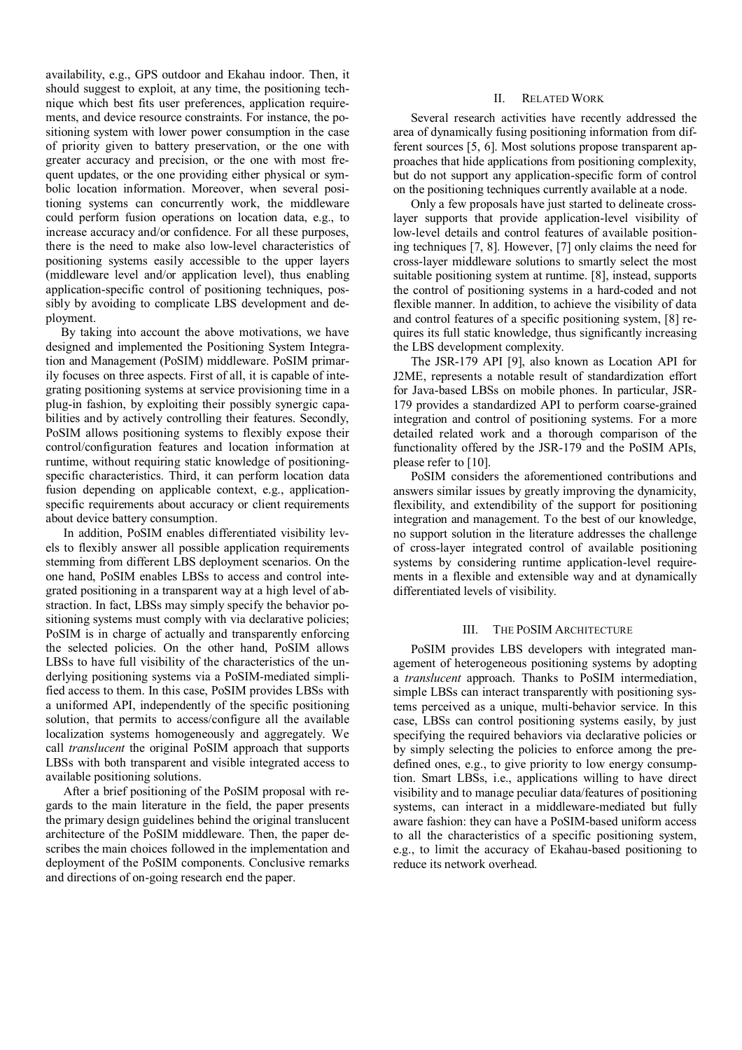availability, e.g., GPS outdoor and Ekahau indoor. Then, it should suggest to exploit, at any time, the positioning technique which best fits user preferences, application requirements, and device resource constraints. For instance, the positioning system with lower power consumption in the case of priority given to battery preservation, or the one with greater accuracy and precision, or the one with most frequent updates, or the one providing either physical or symbolic location information. Moreover, when several positioning systems can concurrently work, the middleware could perform fusion operations on location data, e.g., to increase accuracy and/or confidence. For all these purposes, there is the need to make also low-level characteristics of positioning systems easily accessible to the upper layers (middleware level and/or application level), thus enabling application-specific control of positioning techniques, possibly by avoiding to complicate LBS development and deployment.

By taking into account the above motivations, we have designed and implemented the Positioning System Integration and Management (PoSIM) middleware. PoSIM primarily focuses on three aspects. First of all, it is capable of integrating positioning systems at service provisioning time in a plug-in fashion, by exploiting their possibly synergic capabilities and by actively controlling their features. Secondly, PoSIM allows positioning systems to flexibly expose their control/configuration features and location information at runtime, without requiring static knowledge of positioningspecific characteristics. Third, it can perform location data fusion depending on applicable context, e.g., applicationspecific requirements about accuracy or client requirements about device battery consumption.

In addition, PoSIM enables differentiated visibility levels to flexibly answer all possible application requirements stemming from different LBS deployment scenarios. On the one hand, PoSIM enables LBSs to access and control integrated positioning in a transparent way at a high level of abstraction. In fact, LBSs may simply specify the behavior positioning systems must comply with via declarative policies; PoSIM is in charge of actually and transparently enforcing the selected policies. On the other hand, PoSIM allows LBSs to have full visibility of the characteristics of the underlying positioning systems via a PoSIM-mediated simplified access to them. In this case, PoSIM provides LBSs with a uniformed API, independently of the specific positioning solution, that permits to access/configure all the available localization systems homogeneously and aggregately. We call *translucent* the original PoSIM approach that supports LBSs with both transparent and visible integrated access to available positioning solutions.

After a brief positioning of the PoSIM proposal with regards to the main literature in the field, the paper presents the primary design guidelines behind the original translucent architecture of the PoSIM middleware. Then, the paper describes the main choices followed in the implementation and deployment of the PoSIM components. Conclusive remarks and directions of on-going research end the paper.

#### II. RELATED WORK

Several research activities have recently addressed the area of dynamically fusing positioning information from different sources [5, 6]. Most solutions propose transparent approaches that hide applications from positioning complexity, but do not support any application-specific form of control on the positioning techniques currently available at a node.

Only a few proposals have just started to delineate crosslayer supports that provide application-level visibility of low-level details and control features of available positioning techniques [7, 8]. However, [7] only claims the need for cross-layer middleware solutions to smartly select the most suitable positioning system at runtime. [8], instead, supports the control of positioning systems in a hard-coded and not flexible manner. In addition, to achieve the visibility of data and control features of a specific positioning system, [8] requires its full static knowledge, thus significantly increasing the LBS development complexity.

The JSR-179 API [9], also known as Location API for J2ME, represents a notable result of standardization effort for Java-based LBSs on mobile phones. In particular, JSR-179 provides a standardized API to perform coarse-grained integration and control of positioning systems. For a more detailed related work and a thorough comparison of the functionality offered by the JSR-179 and the PoSIM APIs, please refer to [10].

PoSIM considers the aforementioned contributions and answers similar issues by greatly improving the dynamicity, flexibility, and extendibility of the support for positioning integration and management. To the best of our knowledge, no support solution in the literature addresses the challenge of cross-layer integrated control of available positioning systems by considering runtime application-level requirements in a flexible and extensible way and at dynamically differentiated levels of visibility.

#### III. THE POSIM ARCHITECTURE

PoSIM provides LBS developers with integrated management of heterogeneous positioning systems by adopting a *translucent* approach. Thanks to PoSIM intermediation, simple LBSs can interact transparently with positioning systems perceived as a unique, multi-behavior service. In this case, LBSs can control positioning systems easily, by just specifying the required behaviors via declarative policies or by simply selecting the policies to enforce among the predefined ones, e.g., to give priority to low energy consumption. Smart LBSs, i.e., applications willing to have direct visibility and to manage peculiar data/features of positioning systems, can interact in a middleware-mediated but fully aware fashion: they can have a PoSIM-based uniform access to all the characteristics of a specific positioning system, e.g., to limit the accuracy of Ekahau-based positioning to reduce its network overhead.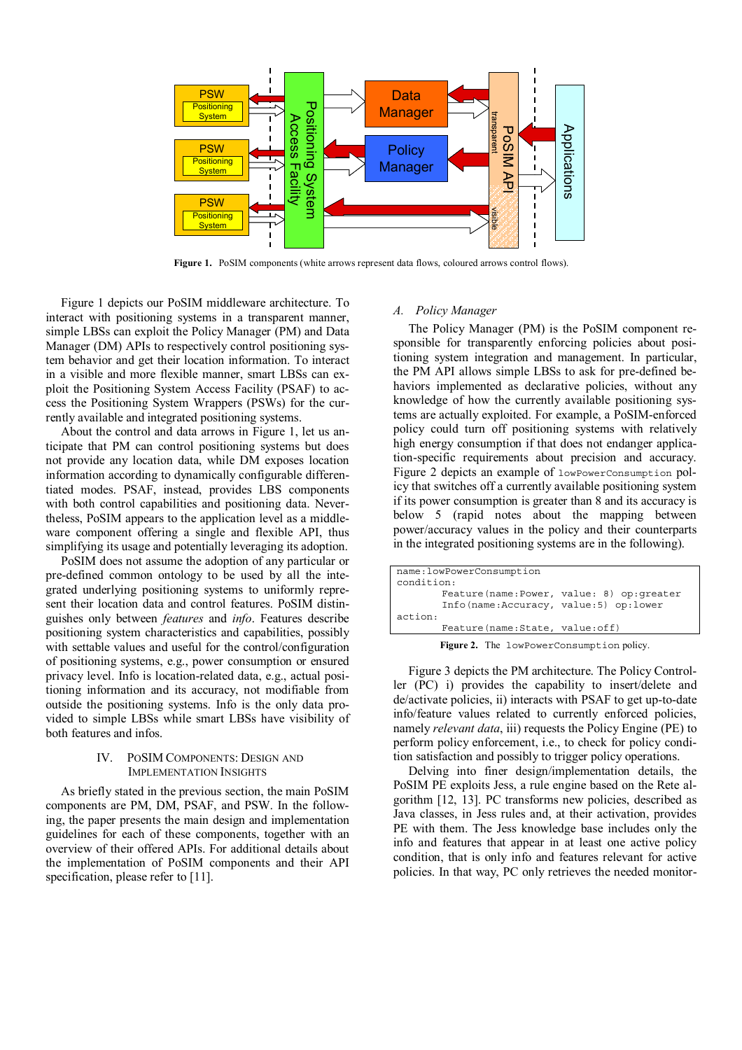

Figure 1. PoSIM components (white arrows represent data flows, coloured arrows control flows).

Figure 1 depicts our PoSIM middleware architecture. To interact with positioning systems in a transparent manner, simple LBSs can exploit the Policy Manager (PM) and Data Manager (DM) APIs to respectively control positioning system behavior and get their location information. To interact in a visible and more flexible manner, smart LBSs can exploit the Positioning System Access Facility (PSAF) to access the Positioning System Wrappers (PSWs) for the currently available and integrated positioning systems.

About the control and data arrows in Figure 1, let us anticipate that PM can control positioning systems but does not provide any location data, while DM exposes location information according to dynamically configurable differentiated modes. PSAF, instead, provides LBS components with both control capabilities and positioning data. Nevertheless, PoSIM appears to the application level as a middleware component offering a single and flexible API, thus simplifying its usage and potentially leveraging its adoption.

PoSIM does not assume the adoption of any particular or pre-defined common ontology to be used by all the integrated underlying positioning systems to uniformly represent their location data and control features. PoSIM distinguishes only between *features* and *info*. Features describe positioning system characteristics and capabilities, possibly with settable values and useful for the control/configuration of positioning systems, e.g., power consumption or ensured privacy level. Info is location-related data, e.g., actual positioning information and its accuracy, not modifiable from outside the positioning systems. Info is the only data provided to simple LBSs while smart LBSs have visibility of both features and infos.

### IV. POSIM COMPONENTS: DESIGN AND IMPLEMENTATION INSIGHTS

As briefly stated in the previous section, the main PoSIM components are PM, DM, PSAF, and PSW. In the following, the paper presents the main design and implementation guidelines for each of these components, together with an overview of their offered APIs. For additional details about the implementation of PoSIM components and their API specification, please refer to [11].

## *A. Policy Manager*

The Policy Manager (PM) is the PoSIM component responsible for transparently enforcing policies about positioning system integration and management. In particular, the PM API allows simple LBSs to ask for pre-defined behaviors implemented as declarative policies, without any knowledge of how the currently available positioning systems are actually exploited. For example, a PoSIM-enforced policy could turn off positioning systems with relatively high energy consumption if that does not endanger application-specific requirements about precision and accuracy. Figure 2 depicts an example of lowPowerConsumption policy that switches off a currently available positioning system if its power consumption is greater than 8 and its accuracy is below 5 (rapid notes about the mapping between power/accuracy values in the policy and their counterparts in the integrated positioning systems are in the following).

| name: lowPowerConsumption                              |  |                                             |
|--------------------------------------------------------|--|---------------------------------------------|
| condition:                                             |  |                                             |
|                                                        |  | Feature (name: Power, value: 8) op: qreater |
|                                                        |  | Info(name:Accuracy, value:5) op:lower       |
| action:                                                |  |                                             |
| Feature(name: State, value: off)                       |  |                                             |
| $\Gamma$ <i>igura</i> ? The lowDowarCongumption policy |  |                                             |

**Figure 2.** The lowPowerConsumption policy.

Figure 3 depicts the PM architecture. The Policy Controller (PC) i) provides the capability to insert/delete and de/activate policies, ii) interacts with PSAF to get up-to-date info/feature values related to currently enforced policies, namely *relevant data*, iii) requests the Policy Engine (PE) to perform policy enforcement, i.e., to check for policy condition satisfaction and possibly to trigger policy operations.

Delving into finer design/implementation details, the PoSIM PE exploits Jess, a rule engine based on the Rete algorithm [12, 13]. PC transforms new policies, described as Java classes, in Jess rules and, at their activation, provides PE with them. The Jess knowledge base includes only the info and features that appear in at least one active policy condition, that is only info and features relevant for active policies. In that way, PC only retrieves the needed monitor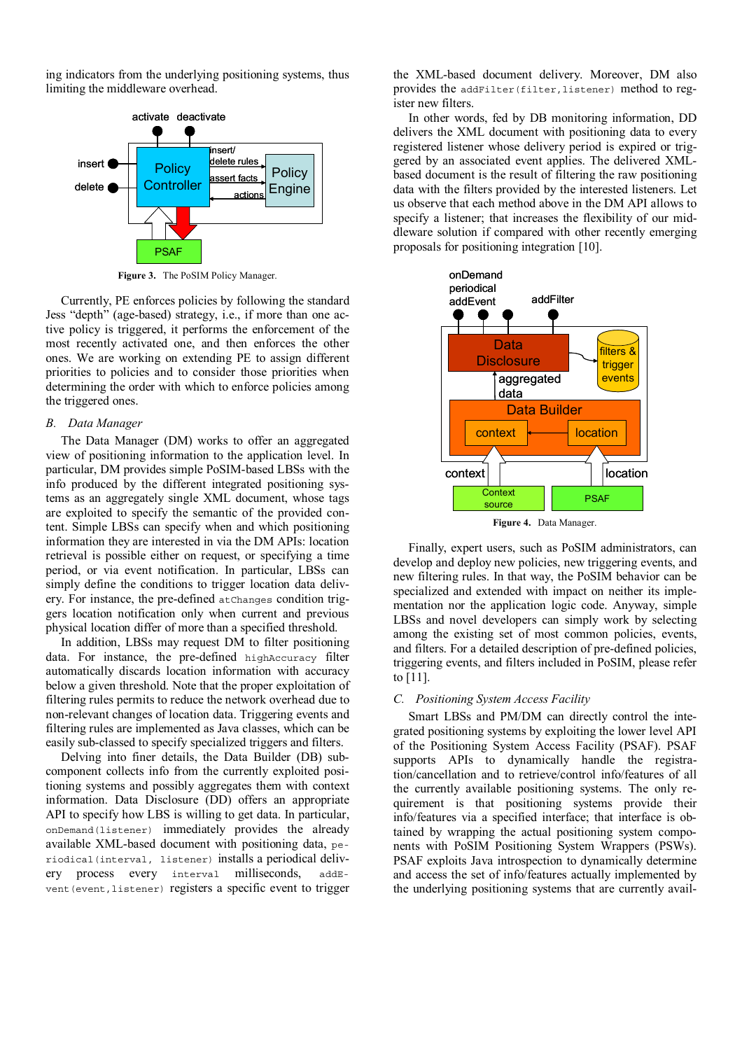ing indicators from the underlying positioning systems, thus limiting the middleware overhead.



**Figure 3.** The PoSIM Policy Manager.

Currently, PE enforces policies by following the standard Jess "depth" (age-based) strategy, i.e., if more than one active policy is triggered, it performs the enforcement of the most recently activated one, and then enforces the other ones. We are working on extending PE to assign different priorities to policies and to consider those priorities when determining the order with which to enforce policies among the triggered ones.

#### *B. Data Manager*

The Data Manager (DM) works to offer an aggregated view of positioning information to the application level. In particular, DM provides simple PoSIM-based LBSs with the info produced by the different integrated positioning systems as an aggregately single XML document, whose tags are exploited to specify the semantic of the provided content. Simple LBSs can specify when and which positioning information they are interested in via the DM APIs: location retrieval is possible either on request, or specifying a time period, or via event notification. In particular, LBSs can simply define the conditions to trigger location data delivery. For instance, the pre-defined atChanges condition triggers location notification only when current and previous physical location differ of more than a specified threshold.

In addition, LBSs may request DM to filter positioning data. For instance, the pre-defined highAccuracy filter automatically discards location information with accuracy below a given threshold. Note that the proper exploitation of filtering rules permits to reduce the network overhead due to non-relevant changes of location data. Triggering events and filtering rules are implemented as Java classes, which can be easily sub-classed to specify specialized triggers and filters.

Delving into finer details, the Data Builder (DB) subcomponent collects info from the currently exploited positioning systems and possibly aggregates them with context information. Data Disclosure (DD) offers an appropriate API to specify how LBS is willing to get data. In particular, onDemand(listener) immediately provides the already available XML-based document with positioning data, periodical(interval, listener) installs a periodical delivery process every interval milliseconds, addEvent (event, listener) registers a specific event to trigger the XML-based document delivery. Moreover, DM also provides the addFilter(filter, listener) method to register new filters.

In other words, fed by DB monitoring information, DD delivers the XML document with positioning data to every registered listener whose delivery period is expired or triggered by an associated event applies. The delivered XMLbased document is the result of filtering the raw positioning data with the filters provided by the interested listeners. Let us observe that each method above in the DM API allows to specify a listener; that increases the flexibility of our middleware solution if compared with other recently emerging proposals for positioning integration [10].



**Figure 4.** Data Manager.

Finally, expert users, such as PoSIM administrators, can develop and deploy new policies, new triggering events, and new filtering rules. In that way, the PoSIM behavior can be specialized and extended with impact on neither its implementation nor the application logic code. Anyway, simple LBSs and novel developers can simply work by selecting among the existing set of most common policies, events, and filters. For a detailed description of pre-defined policies, triggering events, and filters included in PoSIM, please refer to [11].

### *C. Positioning System Access Facility*

Smart LBSs and PM/DM can directly control the integrated positioning systems by exploiting the lower level API of the Positioning System Access Facility (PSAF). PSAF supports APIs to dynamically handle the registration/cancellation and to retrieve/control info/features of all the currently available positioning systems. The only requirement is that positioning systems provide their info/features via a specified interface; that interface is obtained by wrapping the actual positioning system components with PoSIM Positioning System Wrappers (PSWs). PSAF exploits Java introspection to dynamically determine and access the set of info/features actually implemented by the underlying positioning systems that are currently avail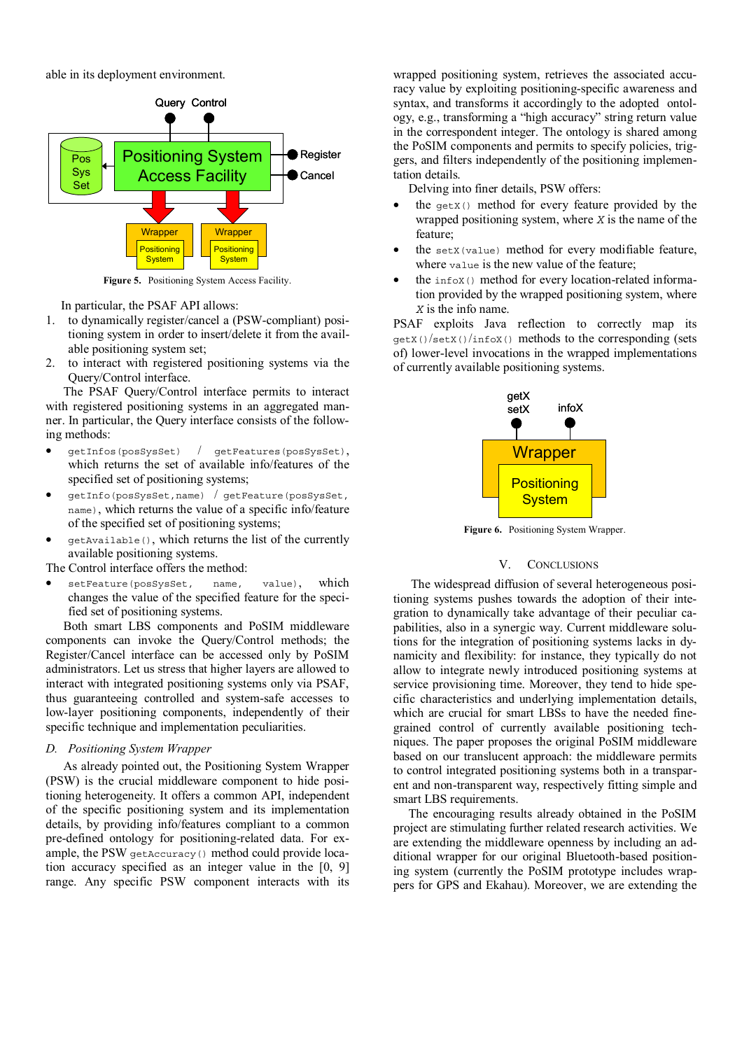able in its deployment environment.



**Figure 5.** Positioning System Access Facility.

In particular, the PSAF API allows:

- 1. to dynamically register/cancel a (PSW-compliant) positioning system in order to insert/delete it from the available positioning system set;
- 2. to interact with registered positioning systems via the Query/Control interface.

The PSAF Query/Control interface permits to interact with registered positioning systems in an aggregated manner. In particular, the Query interface consists of the following methods:

- getInfos(posSysSet) / getFeatures(posSysSet), which returns the set of available info/features of the specified set of positioning systems;
- getInfo(posSysSet,name) / getFeature(posSysSet, name), which returns the value of a specific info/feature of the specified set of positioning systems;
- getAvailable(), which returns the list of the currently available positioning systems.
- The Control interface offers the method:
- setFeature(posSysSet, name, value), which changes the value of the specified feature for the specified set of positioning systems.

Both smart LBS components and PoSIM middleware components can invoke the Query/Control methods; the Register/Cancel interface can be accessed only by PoSIM administrators. Let us stress that higher layers are allowed to interact with integrated positioning systems only via PSAF, thus guaranteeing controlled and system-safe accesses to low-layer positioning components, independently of their specific technique and implementation peculiarities.

### *D. Positioning System Wrapper*

As already pointed out, the Positioning System Wrapper (PSW) is the crucial middleware component to hide positioning heterogeneity. It offers a common API, independent of the specific positioning system and its implementation details, by providing info/features compliant to a common pre-defined ontology for positioning-related data. For example, the PSW getAccuracy() method could provide location accuracy specified as an integer value in the [0, 9] range. Any specific PSW component interacts with its

wrapped positioning system, retrieves the associated accuracy value by exploiting positioning-specific awareness and syntax, and transforms it accordingly to the adopted ontology, e.g., transforming a "high accuracy" string return value in the correspondent integer. The ontology is shared among the PoSIM components and permits to specify policies, triggers, and filters independently of the positioning implementation details.

Delving into finer details, PSW offers:

- the  $getX()$  method for every feature provided by the wrapped positioning system, where *X* is the name of the feature;
- the  $setx$ (value) method for every modifiable feature, where value is the new value of the feature;
- the infox() method for every location-related information provided by the wrapped positioning system, where *X* is the info name.

PSAF exploits Java reflection to correctly map its  $q$ etX()/setX()/infoX() methods to the corresponding (sets of) lower-level invocations in the wrapped implementations of currently available positioning systems.



**Figure 6.** Positioning System Wrapper.

## V. CONCLUSIONS

The widespread diffusion of several heterogeneous positioning systems pushes towards the adoption of their integration to dynamically take advantage of their peculiar capabilities, also in a synergic way. Current middleware solutions for the integration of positioning systems lacks in dynamicity and flexibility: for instance, they typically do not allow to integrate newly introduced positioning systems at service provisioning time. Moreover, they tend to hide specific characteristics and underlying implementation details, which are crucial for smart LBSs to have the needed finegrained control of currently available positioning techniques. The paper proposes the original PoSIM middleware based on our translucent approach: the middleware permits to control integrated positioning systems both in a transparent and non-transparent way, respectively fitting simple and smart LBS requirements.

The encouraging results already obtained in the PoSIM project are stimulating further related research activities. We are extending the middleware openness by including an additional wrapper for our original Bluetooth-based positioning system (currently the PoSIM prototype includes wrappers for GPS and Ekahau). Moreover, we are extending the